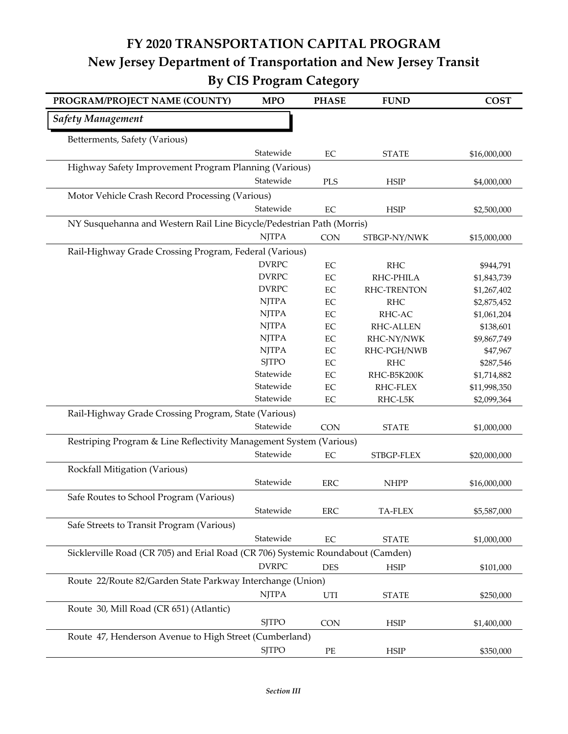## **FY 2020 TRANSPORTATION CAPITAL PROGRAM New Jersey Department of Transportation and New Jersey Transit By CIS Program Category**

| PROGRAM/PROJECT NAME (COUNTY)                                                   | <b>MPO</b>   | <b>PHASE</b> | <b>FUND</b>        | <b>COST</b>  |
|---------------------------------------------------------------------------------|--------------|--------------|--------------------|--------------|
| <b>Safety Management</b>                                                        |              |              |                    |              |
| Betterments, Safety (Various)                                                   |              |              |                    |              |
|                                                                                 | Statewide    | $\rm EC$     | <b>STATE</b>       | \$16,000,000 |
| Highway Safety Improvement Program Planning (Various)                           |              |              |                    |              |
|                                                                                 | Statewide    | PLS          | <b>HSIP</b>        | \$4,000,000  |
| Motor Vehicle Crash Record Processing (Various)                                 |              |              |                    |              |
|                                                                                 | Statewide    | EC           | <b>HSIP</b>        | \$2,500,000  |
| NY Susquehanna and Western Rail Line Bicycle/Pedestrian Path (Morris)           |              |              |                    |              |
|                                                                                 | <b>NJTPA</b> | CON          | STBGP-NY/NWK       | \$15,000,000 |
| Rail-Highway Grade Crossing Program, Federal (Various)                          |              |              |                    |              |
|                                                                                 | <b>DVRPC</b> | EC           | <b>RHC</b>         | \$944,791    |
|                                                                                 | <b>DVRPC</b> | $\rm EC$     | RHC-PHILA          | \$1,843,739  |
|                                                                                 | <b>DVRPC</b> | $\rm EC$     | <b>RHC-TRENTON</b> | \$1,267,402  |
|                                                                                 | <b>NJTPA</b> | EC           | <b>RHC</b>         | \$2,875,452  |
|                                                                                 | <b>NJTPA</b> | EC           | RHC-AC             | \$1,061,204  |
|                                                                                 | <b>NJTPA</b> | EC           | <b>RHC-ALLEN</b>   | \$138,601    |
|                                                                                 | <b>NJTPA</b> | $\rm EC$     | RHC-NY/NWK         | \$9,867,749  |
|                                                                                 | <b>NJTPA</b> | $\rm EC$     | RHC-PGH/NWB        | \$47,967     |
|                                                                                 | <b>SJTPO</b> | $\rm EC$     | <b>RHC</b>         | \$287,546    |
|                                                                                 | Statewide    | EC           | RHC-B5K200K        | \$1,714,882  |
|                                                                                 | Statewide    | EC           | RHC-FLEX           | \$11,998,350 |
|                                                                                 | Statewide    | $\rm EC$     | RHC-L5K            | \$2,099,364  |
| Rail-Highway Grade Crossing Program, State (Various)                            |              |              |                    |              |
|                                                                                 | Statewide    | <b>CON</b>   | <b>STATE</b>       | \$1,000,000  |
| Restriping Program & Line Reflectivity Management System (Various)              |              |              |                    |              |
|                                                                                 | Statewide    | $\rm EC$     | STBGP-FLEX         | \$20,000,000 |
| Rockfall Mitigation (Various)                                                   |              |              |                    |              |
|                                                                                 | Statewide    | <b>ERC</b>   | <b>NHPP</b>        | \$16,000,000 |
| Safe Routes to School Program (Various)                                         |              |              |                    |              |
|                                                                                 | Statewide    | <b>ERC</b>   | TA-FLEX            | \$5,587,000  |
| Safe Streets to Transit Program (Various)                                       |              |              |                    |              |
|                                                                                 | Statewide    | $\rm EC$     | <b>STATE</b>       |              |
|                                                                                 |              |              |                    | \$1,000,000  |
| Sicklerville Road (CR 705) and Erial Road (CR 706) Systemic Roundabout (Camden) |              |              |                    |              |
|                                                                                 | <b>DVRPC</b> | <b>DES</b>   | <b>HSIP</b>        | \$101,000    |
| Route 22/Route 82/Garden State Parkway Interchange (Union)                      |              |              |                    |              |
|                                                                                 | <b>NJTPA</b> | UTI          | <b>STATE</b>       | \$250,000    |
| Route 30, Mill Road (CR 651) (Atlantic)                                         |              |              |                    |              |
|                                                                                 | <b>SJTPO</b> | <b>CON</b>   | <b>HSIP</b>        | \$1,400,000  |
| Route 47, Henderson Avenue to High Street (Cumberland)                          |              |              |                    |              |
|                                                                                 | <b>SJTPO</b> | $PE$         | <b>HSIP</b>        | \$350,000    |